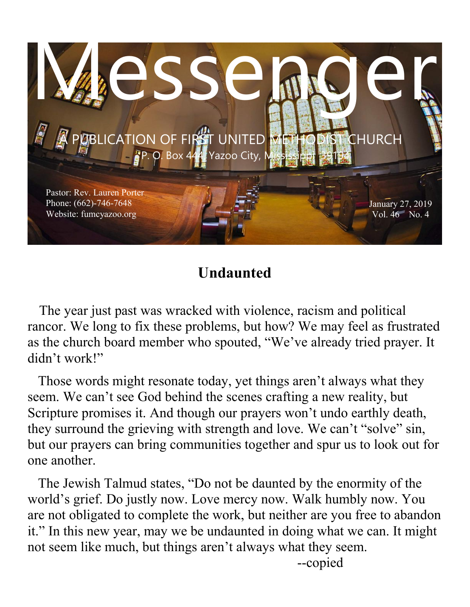

# **Undaunted**

 The year just past was wracked with violence, racism and political rancor. We long to fix these problems, but how? We may feel as frustrated as the church board member who spouted, "We've already tried prayer. It didn't work!"

 Those words might resonate today, yet things aren't always what they seem. We can't see God behind the scenes crafting a new reality, but Scripture promises it. And though our prayers won't undo earthly death, they surround the grieving with strength and love. We can't "solve" sin, but our prayers can bring communities together and spur us to look out for one another.

 The Jewish Talmud states, "Do not be daunted by the enormity of the world's grief. Do justly now. Love mercy now. Walk humbly now. You are not obligated to complete the work, but neither are you free to abandon it." In this new year, may we be undaunted in doing what we can. It might not seem like much, but things aren't always what they seem.

--copied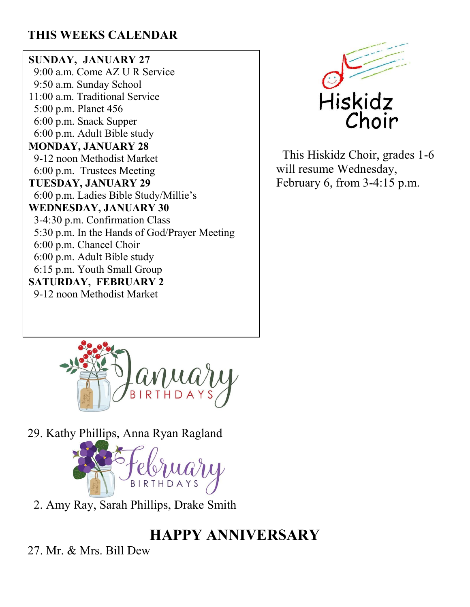## **THIS WEEKS CALENDAR**

**SUNDAY, JANUARY 27** 9:00 a.m. Come AZ U R Service 9:50 a.m. Sunday School 11:00 a.m. Traditional Service 5:00 p.m. Planet 456 6:00 p.m. Snack Supper 6:00 p.m. Adult Bible study **MONDAY, JANUARY 28** 9-12 noon Methodist Market 6:00 p.m. Trustees Meeting **TUESDAY, JANUARY 29** 6:00 p.m. Ladies Bible Study/Millie's **WEDNESDAY, JANUARY 30** 3-4:30 p.m. Confirmation Class 5:30 p.m. In the Hands of God/Prayer Meeting 6:00 p.m. Chancel Choir 6:00 p.m. Adult Bible study 6:15 p.m. Youth Small Group **SATURDAY, FEBRUARY 2** 9-12 noon Methodist Market



 This Hiskidz Choir, grades 1-6 will resume Wednesday, February 6, from 3-4:15 p.m.



29. Kathy Phillips, Anna Ryan Ragland



2. Amy Ray, Sarah Phillips, Drake Smith

# **HAPPY ANNIVERSARY**

27. Mr. & Mrs. Bill Dew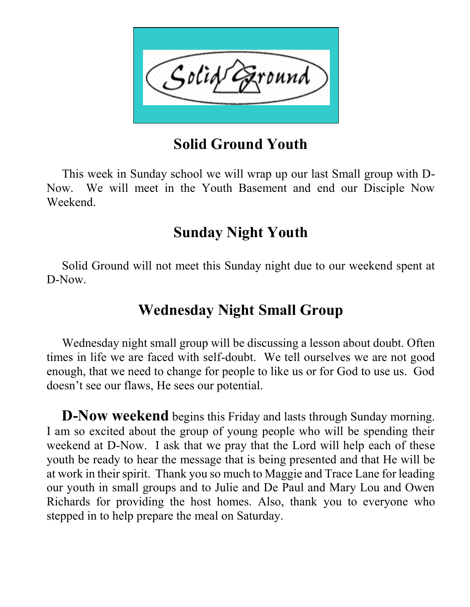

# **Solid Ground Youth**

 This week in Sunday school we will wrap up our last Small group with D-Now. We will meet in the Youth Basement and end our Disciple Now Weekend.

# **Sunday Night Youth**

 Solid Ground will not meet this Sunday night due to our weekend spent at D-Now.

# **Wednesday Night Small Group**

 Wednesday night small group will be discussing a lesson about doubt. Often times in life we are faced with self-doubt. We tell ourselves we are not good enough, that we need to change for people to like us or for God to use us. God doesn't see our flaws, He sees our potential.

 **D-Now weekend** begins this Friday and lasts through Sunday morning. I am so excited about the group of young people who will be spending their weekend at D-Now. I ask that we pray that the Lord will help each of these youth be ready to hear the message that is being presented and that He will be at work in their spirit. Thank you so much to Maggie and Trace Lane for leading our youth in small groups and to Julie and De Paul and Mary Lou and Owen Richards for providing the host homes. Also, thank you to everyone who stepped in to help prepare the meal on Saturday.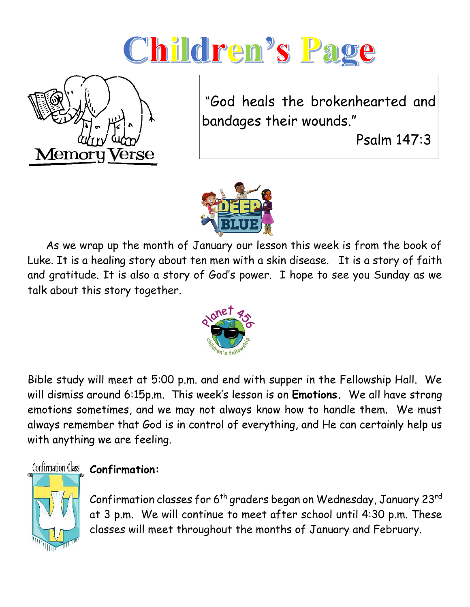# Children's Page



"God heals the brokenhearted and bandages their wounds."

Psalm 147:3



 As we wrap up the month of January our lesson this week is from the book of Luke. It is a healing story about ten men with a skin disease. It is a story of faith and gratitude. It is also a story of God's power. I hope to see you Sunday as we talk about this story together.



Bible study will meet at 5:00 p.m. and end with supper in the Fellowship Hall. We will dismiss around 6:15p.m. This week's lesson is on **Emotions.** We all have strong emotions sometimes, and we may not always know how to handle them. We must always remember that God is in control of everything, and He can certainly help us with anything we are feeling.



## Confirmation Class **Confirmation:**

Confirmation classes for  $6<sup>th</sup>$  graders began on Wednesday, January 23 $<sup>rd</sup>$ </sup> at 3 p.m. We will continue to meet after school until 4:30 p.m. These classes will meet throughout the months of January and February.